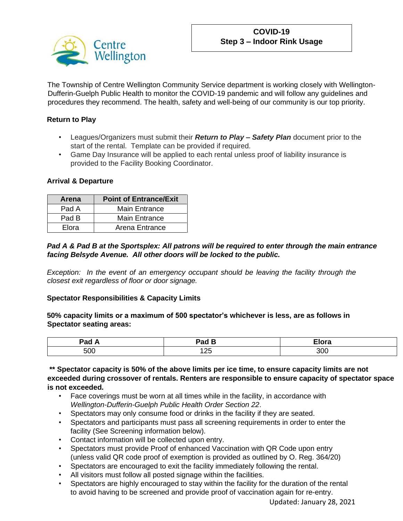

The Township of Centre Wellington Community Service department is working closely with Wellington-Dufferin-Guelph Public Health to monitor the COVID-19 pandemic and will follow any guidelines and procedures they recommend. The health, safety and well-being of our community is our top priority.

# **Return to Play**

- Leagues/Organizers must submit their *Return to Play – Safety Plan* document prior to the start of the rental. Template can be provided if required.
- Game Day Insurance will be applied to each rental unless proof of liability insurance is provided to the Facility Booking Coordinator.

## **Arrival & Departure**

| Arena | <b>Point of Entrance/Exit</b> |  |
|-------|-------------------------------|--|
| Pad A | <b>Main Entrance</b>          |  |
| Pad B | <b>Main Entrance</b>          |  |
| Elora | Arena Entrance                |  |

## *Pad A & Pad B at the Sportsplex: All patrons will be required to enter through the main entrance facing Belsyde Avenue. All other doors will be locked to the public.*

*Exception: In the event of an emergency occupant should be leaving the facility through the closest exit regardless of floor or door signage.*

## **Spectator Responsibilities & Capacity Limits**

**50% capacity limits or a maximum of 500 spectator's whichever is less, are as follows in Spectator seating areas:**

| ____         | -<br>aa .<br>--<br>- --- - | ---<br>____ |
|--------------|----------------------------|-------------|
| $F^{\wedge}$ | ້∸                         | 30 K X      |
| but          | ____                       | $\sim$      |

**\*\* Spectator capacity is 50% of the above limits per ice time, to ensure capacity limits are not exceeded during crossover of rentals. Renters are responsible to ensure capacity of spectator space is not exceeded.**

- Face coverings must be worn at all times while in the facility, in accordance with *Wellington-Dufferin-Guelph Public Health Order Section 22*.
- Spectators may only consume food or drinks in the facility if they are seated.
- Spectators and participants must pass all screening requirements in order to enter the facility (See Screening information below).
- Contact information will be collected upon entry.
- Spectators must provide Proof of enhanced Vaccination with QR Code upon entry (unless valid QR code proof of exemption is provided as outlined by O. Reg. 364/20)
- Spectators are encouraged to exit the facility immediately following the rental.
- All visitors must follow all posted signage within the facilities.
- Spectators are highly encouraged to stay within the facility for the duration of the rental to avoid having to be screened and provide proof of vaccination again for re-entry.

Updated: January 28, 2021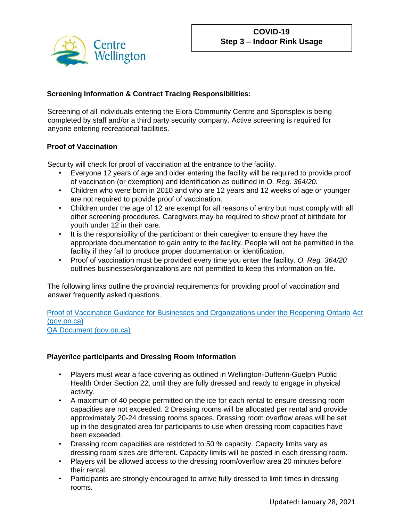

# **Screening Information & Contract Tracing Responsibilities:**

Screening of all individuals entering the Elora Community Centre and Sportsplex is being completed by staff and/or a third party security company. Active screening is required for anyone entering recreational facilities.

## **Proof of Vaccination**

Security will check for proof of vaccination at the entrance to the facility.

- Everyone 12 years of age and older entering the facility will be required to provide proof of vaccination (or exemption) and identification as outlined in *O. Reg. 364/20.*
- Children who were born in 2010 and who are 12 years and 12 weeks of age or younger are not required to provide proof of vaccination.
- Children under the age of 12 are exempt for all reasons of entry but must comply with all other screening procedures. Caregivers may be required to show proof of birthdate for youth under 12 in their care.
- It is the responsibility of the participant or their caregiver to ensure they have the appropriate documentation to gain entry to the facility. People will not be permitted in the facility if they fail to produce proper documentation or identification.
- Proof of vaccination must be provided every time you enter the facility. *O. Reg. 364/20* outlines businesses/organizations are not permitted to keep this information on file.

The following links outline the provincial requirements for providing proof of vaccination and answer frequently asked questions.

[Proof of Vaccination Guidance for Businesses and Organizations under the Reopening Ontario](https://www.health.gov.on.ca/en/pro/programs/publichealth/coronavirus/docs/guidance_proof_of_vaccination_for_businesses_and_organizations.pdf) [Act](https://www.health.gov.on.ca/en/pro/programs/publichealth/coronavirus/docs/guidance_proof_of_vaccination_for_businesses_and_organizations.pdf)  [\(gov.on.ca\)](https://www.health.gov.on.ca/en/pro/programs/publichealth/coronavirus/docs/guidance_proof_of_vaccination_for_businesses_and_organizations.pdf) [QA Document \(gov.on.ca\)](https://www.health.gov.on.ca/en/pro/programs/publichealth/coronavirus/docs/fq_proof_of_vaccination_for_businesses_and_organizations.pdf)

## **Player/Ice participants and Dressing Room Information**

- Players must wear a face covering as outlined in Wellington-Dufferin-Guelph Public Health Order Section 22, until they are fully dressed and ready to engage in physical activity.
- A maximum of 40 people permitted on the ice for each rental to ensure dressing room capacities are not exceeded. 2 Dressing rooms will be allocated per rental and provide approximately 20-24 dressing rooms spaces. Dressing room overflow areas will be set up in the designated area for participants to use when dressing room capacities have been exceeded.
- Dressing room capacities are restricted to 50 % capacity. Capacity limits vary as dressing room sizes are different. Capacity limits will be posted in each dressing room.
- Players will be allowed access to the dressing room/overflow area 20 minutes before their rental.
- Participants are strongly encouraged to arrive fully dressed to limit times in dressing rooms.